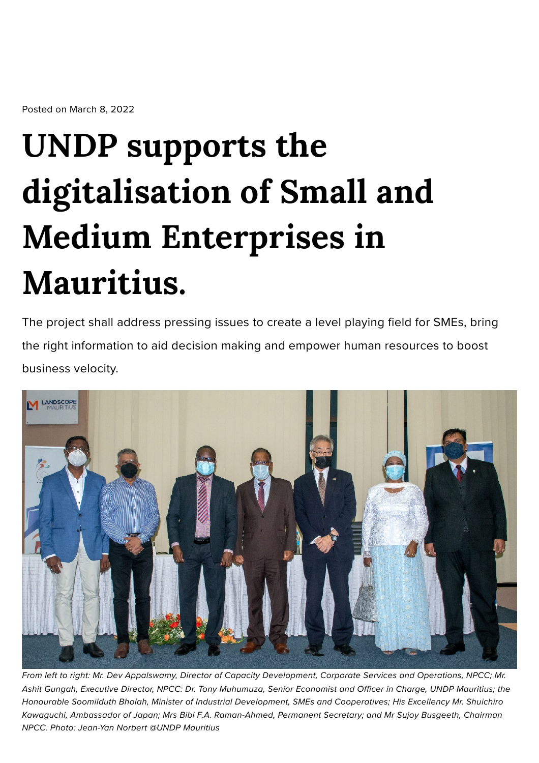Posted on March 8, 2022

## **UNDP supports the digitalisation of Small and Medium Enterprises in Mauritius.**

The project shall address pressing issues to create a level playing field for SMEs, bring the right information to aid decision making and empower human resources to boost business velocity.



From left to right: Mr. Dev Appalswamy, Director of Capacity Development, Corporate Services and Operations, NPCC; Mr. Ashit Gungah, Executive Director, NPCC: Dr. Tony Muhumuza, Senior Economist and Officer in Charge, UNDP Mauritius; the Honourable Soomilduth Bholah, Minister of Industrial Development, SMEs and Cooperatives; His Excellency Mr. Shuichiro Kawaguchi, Ambassador of Japan; Mrs Bibi F.A. Raman-Ahmed, Permanent Secretary; and Mr Sujoy Busgeeth, Chairman NPCC. Photo: Jean-Yan Norbert @UNDP Mauritius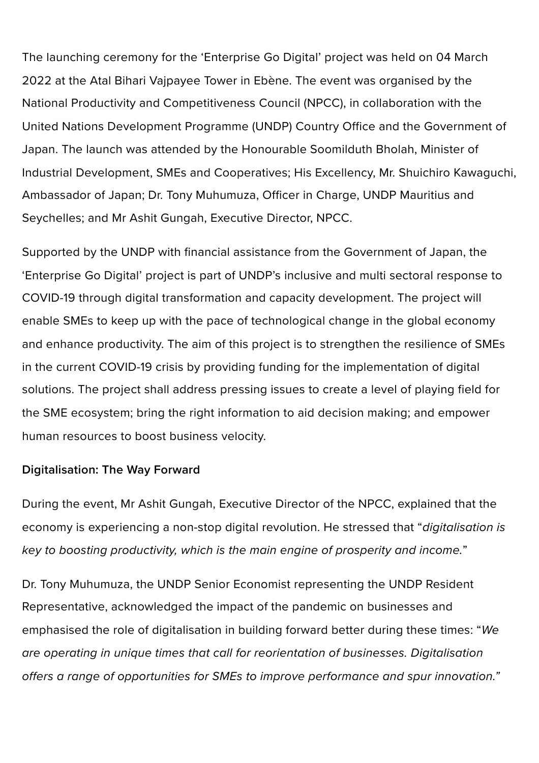The launching ceremony for the 'Enterprise Go Digital' project was held on 04 March 2022 at the Atal Bihari Vajpayee Tower in Ebène. The event was organised by the National Productivity and Competitiveness Council (NPCC), in collaboration with the United Nations Development Programme (UNDP) Country Office and the Government of Japan. The launch was attended by the Honourable Soomilduth Bholah, Minister of Industrial Development, SMEs and Cooperatives; His Excellency, Mr. Shuichiro Kawaguchi, Ambassador of Japan; Dr. Tony Muhumuza, Officer in Charge, UNDP Mauritius and Seychelles; and Mr Ashit Gungah, Executive Director, NPCC.

Supported by the UNDP with financial assistance from the Government of Japan, the 'Enterprise Go Digital' project is part of UNDP's inclusive and multi sectoral response to COVID-19 through digital transformation and capacity development. The project will enable SMEs to keep up with the pace of technological change in the global economy and enhance productivity. The aim of this project is to strengthen the resilience of SMEs in the current COVID-19 crisis by providing funding for the implementation of digital solutions. The project shall address pressing issues to create a level of playing field for the SME ecosystem; bring the right information to aid decision making; and empower human resources to boost business velocity.

## Digitalisation: The Way Forward

During the event, Mr Ashit Gungah, Executive Director of the NPCC, explained that the economy is experiencing a non-stop digital revolution. He stressed that "digitalisation is key to boosting productivity, which is the main engine of prosperity and income."

Dr. Tony Muhumuza, the UNDP Senior Economist representing the UNDP Resident Representative, acknowledged the impact of the pandemic on businesses and emphasised the role of digitalisation in building forward better during these times: "We are operating in unique times that call for reorientation of businesses. Digitalisation offers a range of opportunities for SMEs to improve performance and spur innovation."